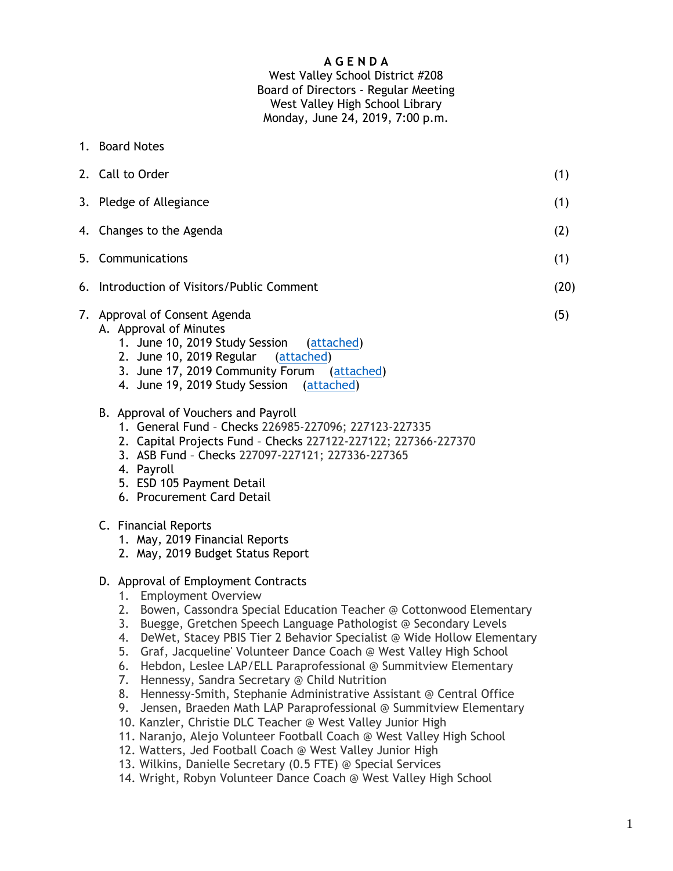# **A G E N D A**

# West Valley School District #208 Board of Directors - Regular Meeting West Valley High School Library Monday, June 24, 2019, 7:00 p.m.

1. Board Notes

| 2. Call to Order                                                                                                                                                                                                                                                                                                                                                                                                                                                                                                                              | (1) |  |
|-----------------------------------------------------------------------------------------------------------------------------------------------------------------------------------------------------------------------------------------------------------------------------------------------------------------------------------------------------------------------------------------------------------------------------------------------------------------------------------------------------------------------------------------------|-----|--|
| 3. Pledge of Allegiance                                                                                                                                                                                                                                                                                                                                                                                                                                                                                                                       |     |  |
| 4. Changes to the Agenda                                                                                                                                                                                                                                                                                                                                                                                                                                                                                                                      |     |  |
| 5. Communications                                                                                                                                                                                                                                                                                                                                                                                                                                                                                                                             |     |  |
| 6. Introduction of Visitors/Public Comment                                                                                                                                                                                                                                                                                                                                                                                                                                                                                                    |     |  |
| 7. Approval of Consent Agenda<br>A. Approval of Minutes<br>1. June 10, 2019 Study Session<br>(attached)<br>2. June 10, 2019 Regular<br>(attached)<br>3. June 17, 2019 Community Forum (attached)<br>4. June 19, 2019 Study Session (attached)<br>B. Approval of Vouchers and Payroll<br>1. General Fund - Checks 226985-227096; 227123-227335<br>2. Capital Projects Fund - Checks 227122-227122; 227366-227370<br>3. ASB Fund - Checks 227097-227121; 227336-227365<br>4. Payroll<br>5. ESD 105 Payment Detail<br>6. Procurement Card Detail | (5) |  |
| C. Financial Reports<br>1. May, 2019 Financial Reports<br>2. May, 2019 Budget Status Report                                                                                                                                                                                                                                                                                                                                                                                                                                                   |     |  |
| D. Approval of Employment Contracts<br><b>Employment Overview</b><br>1.<br>2. Bowen, Cassondra Special Education Teacher @ Cottonwood Elementary<br>3. Buegge, Gretchen Speech Language Pathologist @ Secondary Levels<br>4. DeWet, Stacey PBIS Tier 2 Behavior Specialist @ Wide Hollow Elementary<br>Graf, Jacqueline' Volunteer Dance Coach @ West Valley High School<br>5.                                                                                                                                                                |     |  |

- 6. Hebdon, Leslee LAP/ELL Paraprofessional @ Summitview Elementary
- 7. Hennessy, Sandra Secretary @ Child Nutrition
- 8. Hennessy-Smith, Stephanie Administrative Assistant @ Central Office
- 9. Jensen, Braeden Math LAP Paraprofessional @ Summitview Elementary
- 10. Kanzler, Christie DLC Teacher @ West Valley Junior High
- 11. Naranjo, Alejo Volunteer Football Coach @ West Valley High School
- 12. Watters, Jed Football Coach @ West Valley Junior High
- 13. Wilkins, Danielle Secretary (0.5 FTE) @ Special Services
- 14. Wright, Robyn Volunteer Dance Coach @ West Valley High School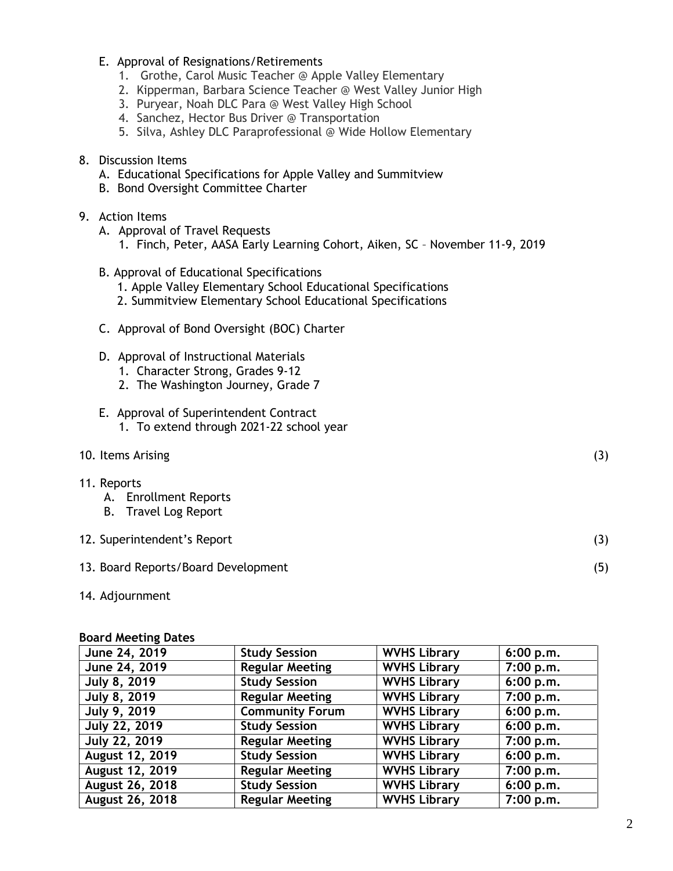#### E. Approval of Resignations/Retirements

- 1. Grothe, Carol Music Teacher @ Apple Valley Elementary
- 2. Kipperman, Barbara Science Teacher @ West Valley Junior High
- 3. Puryear, Noah DLC Para @ West Valley High School
- 4. Sanchez, Hector Bus Driver @ Transportation
- 5. Silva, Ashley DLC Paraprofessional @ Wide Hollow Elementary
- 8. Discussion Items
	- A. Educational Specifications for Apple Valley and Summitview
	- B. Bond Oversight Committee Charter

## 9. Action Items

- A. Approval of Travel Requests
	- 1. Finch, Peter, AASA Early Learning Cohort, Aiken, SC November 11-9, 2019
- B. Approval of Educational Specifications
	- 1. Apple Valley Elementary School Educational Specifications
	- 2. Summitview Elementary School Educational Specifications
- C. Approval of Bond Oversight (BOC) Charter
- D. Approval of Instructional Materials
	- 1. Character Strong, Grades 9-12
	- 2. The Washington Journey, Grade 7

# E. Approval of Superintendent Contract

- 1. To extend through 2021-22 school year
- 10. Items Arising (3)

#### 11. Reports

- A. Enrollment Reports
- B. Travel Log Report

# 12. Superintendent's Report (3)

# 13. Board Reports/Board Development (5)

14. Adjournment

#### **Board Meeting Dates**

| June 24, 2019          | <b>Study Session</b>   | <b>WVHS Library</b> | 6:00 p.m. |  |  |
|------------------------|------------------------|---------------------|-----------|--|--|
| June 24, 2019          | <b>Regular Meeting</b> | <b>WVHS Library</b> | 7:00 p.m. |  |  |
| <b>July 8, 2019</b>    | <b>Study Session</b>   | <b>WVHS Library</b> | 6:00 p.m. |  |  |
| <b>July 8, 2019</b>    | <b>Regular Meeting</b> | <b>WVHS Library</b> | 7:00 p.m. |  |  |
| <b>July 9, 2019</b>    | <b>Community Forum</b> | <b>WVHS Library</b> | 6:00 p.m. |  |  |
| July 22, 2019          | <b>Study Session</b>   | <b>WVHS Library</b> | 6:00 p.m. |  |  |
| <b>July 22, 2019</b>   | <b>Regular Meeting</b> | <b>WVHS Library</b> | 7:00 p.m. |  |  |
| August 12, 2019        | <b>Study Session</b>   | <b>WVHS Library</b> | 6:00 p.m. |  |  |
| <b>August 12, 2019</b> | <b>Regular Meeting</b> | <b>WVHS Library</b> | 7:00 p.m. |  |  |
| August 26, 2018        | <b>Study Session</b>   | <b>WVHS Library</b> | 6:00 p.m. |  |  |
| August 26, 2018        | <b>Regular Meeting</b> | <b>WVHS Library</b> | 7:00 p.m. |  |  |